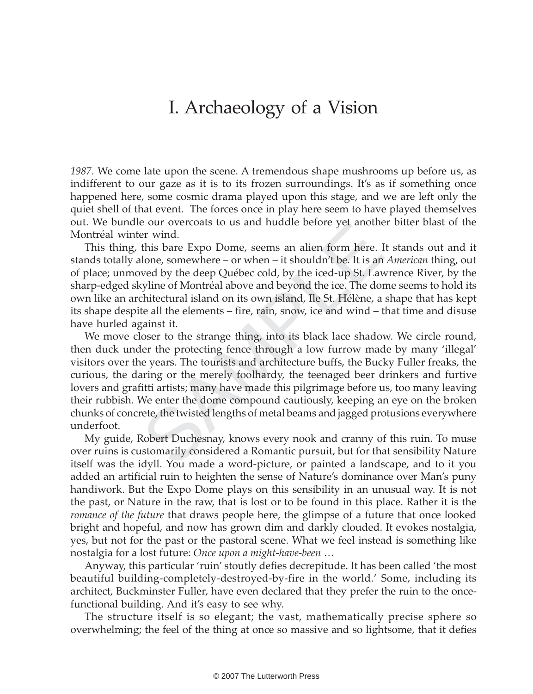# $\overline{\mathcal{O}}$

1987. We come late upon the scene. A tremendous shape mushrooms up before us, as indifferent to our gaze as it is to its frozen surroundings. It's as if something once happened here, some cosmic drama played upon this stage, and we are left only the quiet shell of that event. The forces once in play here seem to have played themselves out. We bundle our overcoats to us and huddle before yet another bitter blast of the Montréal winter wind.

This thing, this bare Expo Dome, seems an alien form here. It stands out and it stands totally alone, somewhere – or when – it shouldn't be. It is an American thing, out of place; unmoved by the deep Québec cold, by the iced-up St. Lawrence River, by the sharp-edged skyline of Montréal above and beyond the ice. The dome seems to hold its own like an architectural island on its own island, Ile St. Hélène, a shape that has kept its shape despite all the elements – fire, rain, snow, ice and wind – that time and disuse have hurled against it.

er wind.<br>
this bare Expo Dome, seems an alien form here. I<br>
this bare Expo Dome, seems an alien form here. I<br>
alone, somewhere – or when – it shouldn't be. It is an<br>
swed by the deep Québec cold, by the iced-up St. Law<br>
sy We move closer to the strange thing, into its black lace shadow. We circle round, then duck under the protecting fence through a low furrow made by many 'illegal' visitors over the years. The tourists and architecture buffs, the Bucky Fuller freaks, the curious, the daring or the merely foolhardy, the teenaged beer drinkers and furtive lovers and grafitti artists; many have made this pilgrimage before us, too many leaving their rubbish. We enter the dome compound cautiously, keeping an eye on the broken chunks of concrete, the twisted lengths of metal beams and jagged protusions everywhere underfoot.

My guide, Robert Duchesnay, knows every nook and cranny of this ruin. To muse over ruins is customarily considered a Romantic pursuit, but for that sensibility Nature itself was the idyll. You made a word-picture, or painted a landscape, and to it you added an artificial ruin to heighten the sense of Nature's dominance over Man's puny handiwork. But the Expo Dome plays on this sensibility in an unusual way. It is not the past, or Nature in the raw, that is lost or to be found in this place. Rather it is the *romance of the future* that draws people here, the glimpse of a future that once looked bright and hopeful, and now has grown dim and darkly clouded. It evokes nostalgia, yes, but not for the past or the pastoral scene. What we feel instead is something like nostalgia for a lost future: Once upon a might-have-been …

Anyway, this particular 'ruin' stoutly defies decrepitude. It has been called 'the most beautiful building-completely-destroyed-by-fire in the world.' Some, including its architect, Buckminster Fuller, have even declared that they prefer the ruin to the oncefunctional building. And it's easy to see why.

The structure itself is so elegant; the vast, mathematically precise sphere so overwhelming; the feel of the thing at once so massive and so lightsome, that it defies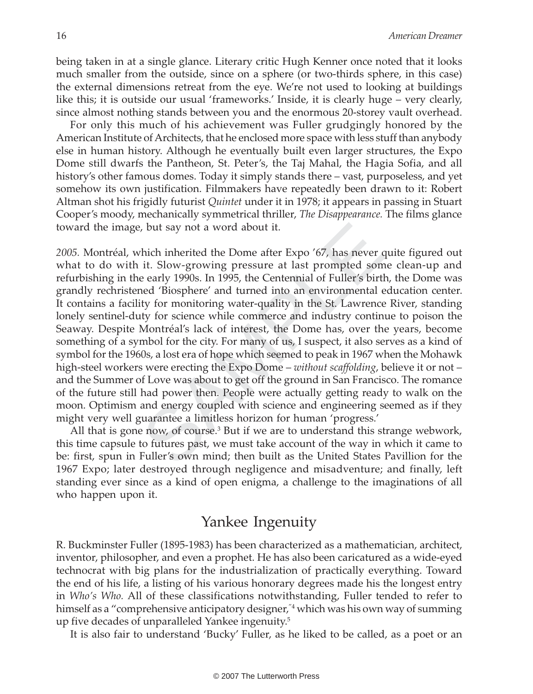being taken in at a single glance. Literary critic Hugh Kenner once noted that it looks much smaller from the outside, since on a sphere (or two-thirds sphere, in this case) the external dimensions retreat from the eye. We're not used to looking at buildings like this; it is outside our usual 'frameworks.' Inside, it is clearly huge – very clearly, since almost nothing stands between you and the enormous 20-storey vault overhead.

For only this much of his achievement was Fuller grudgingly honored by the American Institute of Architects, that he enclosed more space with less stuff than anybody else in human history. Although he eventually built even larger structures, the Expo Dome still dwarfs the Pantheon, St. Peter's, the Taj Mahal, the Hagia Sofia, and all history's other famous domes. Today it simply stands there – vast, purposeless, and yet somehow its own justification. Filmmakers have repeatedly been drawn to it: Robert Altman shot his frigidly futurist Quintet under it in 1978; it appears in passing in Stuart Cooper's moody, mechanically symmetrical thriller, The Disappearance. The films glance toward the image, but say not a word about it.

be, but say not a word about it.<br>
which inherited the Dome after Expo '67, has never it. Slow-growing pressure at last prompted some e early 1990s. In 1995, the Centennial of Fuller's birt<br>
e early 1990s. In 1995, the Cent 2005. Montréal, which inherited the Dome after Expo '67, has never quite figured out what to do with it. Slow-growing pressure at last prompted some clean-up and refurbishing in the early 1990s. In 1995, the Centennial of Fuller's birth, the Dome was grandly rechristened 'Biosphere' and turned into an environmental education center. It contains a facility for monitoring water-quality in the St. Lawrence River, standing lonely sentinel-duty for science while commerce and industry continue to poison the Seaway. Despite Montréal's lack of interest, the Dome has, over the years, become something of a symbol for the city. For many of us, I suspect, it also serves as a kind of symbol for the 1960s, a lost era of hope which seemed to peak in 1967 when the Mohawk high-steel workers were erecting the Expo Dome – *without scaffolding*, believe it or not – and the Summer of Love was about to get off the ground in San Francisco. The romance of the future still had power then. People were actually getting ready to walk on the moon. Optimism and energy coupled with science and engineering seemed as if they might very well guarantee a limitless horizon for human 'progress.'

All that is gone now, of course.<sup>3</sup> But if we are to understand this strange webwork, this time capsule to futures past, we must take account of the way in which it came to be: first, spun in Fuller's own mind; then built as the United States Pavillion for the 1967 Expo; later destroyed through negligence and misadventure; and finally, left standing ever since as a kind of open enigma, a challenge to the imaginations of all who happen upon it.

#### Yankee Ingenuity

R. Buckminster Fuller (1895-1983) has been characterized as a mathematician, architect, inventor, philosopher, and even a prophet. He has also been caricatured as a wide-eyed technocrat with big plans for the industrialization of practically everything. Toward the end of his life, a listing of his various honorary degrees made his the longest entry in Who's Who. All of these classifications notwithstanding, Fuller tended to refer to himself as a "comprehensive anticipatory designer,"4 which was his own way of summing up five decades of unparalleled Yankee ingenuity. 5

It is also fair to understand 'Bucky' Fuller, as he liked to be called, as a poet or an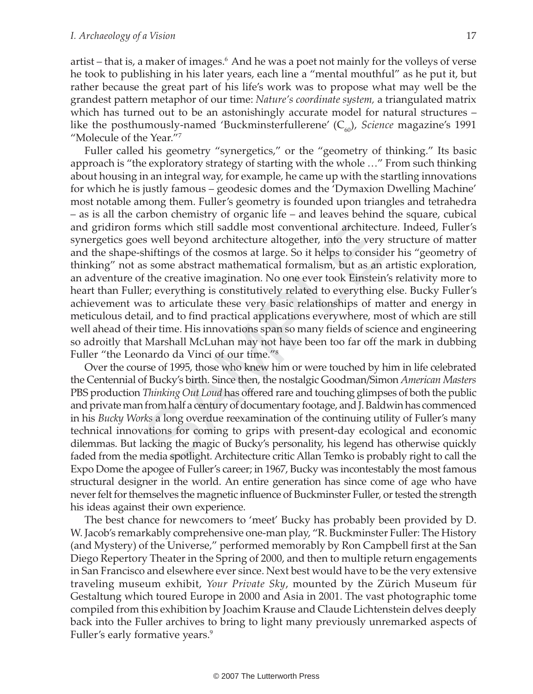artist – that is, a maker of images.<sup>6</sup> And he was a poet not mainly for the volleys of verse he took to publishing in his later years, each line a "mental mouthful" as he put it, but rather because the great part of his life's work was to propose what may well be the grandest pattern metaphor of our time: Nature's coordinate system, a triangulated matrix which has turned out to be an astonishingly accurate model for natural structures – like the posthumously-named 'Buckminsterfullerene'  $(C_{60})$ , Science magazine's 1991 "Molecule of the Year."7

orms which still saddle most conventional architect<br>es well beyond architecture altogether, into the very<br>shiftings of the cosmos at large. So it helps to consid<br>as some abstract mathematical formalism, but as an<br>of the cr Fuller called his geometry "synergetics," or the "geometry of thinking." Its basic approach is "the exploratory strategy of starting with the whole …" From such thinking about housing in an integral way, for example, he came up with the startling innovations for which he is justly famous – geodesic domes and the 'Dymaxion Dwelling Machine' most notable among them. Fuller's geometry is founded upon triangles and tetrahedra – as is all the carbon chemistry of organic life – and leaves behind the square, cubical and gridiron forms which still saddle most conventional architecture. Indeed, Fuller's synergetics goes well beyond architecture altogether, into the very structure of matter and the shape-shiftings of the cosmos at large. So it helps to consider his "geometry of thinking" not as some abstract mathematical formalism, but as an artistic exploration, an adventure of the creative imagination. No one ever took Einstein's relativity more to heart than Fuller; everything is constitutively related to everything else. Bucky Fuller's achievement was to articulate these very basic relationships of matter and energy in meticulous detail, and to find practical applications everywhere, most of which are still well ahead of their time. His innovations span so many fields of science and engineering so adroitly that Marshall McLuhan may not have been too far off the mark in dubbing Fuller "the Leonardo da Vinci of our time."<sup>8</sup>

Over the course of 1995, those who knew him or were touched by him in life celebrated the Centennial of Bucky's birth. Since then, the nostalgic Goodman/Simon American Masters PBS production Thinking Out Loud has offered rare and touching glimpses of both the public and private man from half a century of documentary footage, and J. Baldwin has commenced in his Bucky Works a long overdue reexamination of the continuing utility of Fuller's many technical innovations for coming to grips with present-day ecological and economic dilemmas. But lacking the magic of Bucky's personality, his legend has otherwise quickly faded from the media spotlight. Architecture critic Allan Temko is probably right to call the Expo Dome the apogee of Fuller's career; in 1967, Bucky was incontestably the most famous structural designer in the world. An entire generation has since come of age who have never felt for themselves the magnetic influence of Buckminster Fuller, or tested the strength his ideas against their own experience.

The best chance for newcomers to 'meet' Bucky has probably been provided by D. W. Jacob's remarkably comprehensive one-man play, "R. Buckminster Fuller: The History (and Mystery) of the Universe," performed memorably by Ron Campbell first at the San Diego Repertory Theater in the Spring of 2000, and then to multiple return engagements in San Francisco and elsewhere ever since. Next best would have to be the very extensive traveling museum exhibit, Your Private Sky, mounted by the Zürich Museum für Gestaltung which toured Europe in 2000 and Asia in 2001. The vast photographic tome compiled from this exhibition by Joachim Krause and Claude Lichtenstein delves deeply back into the Fuller archives to bring to light many previously unremarked aspects of Fuller's early formative years.<sup>9</sup>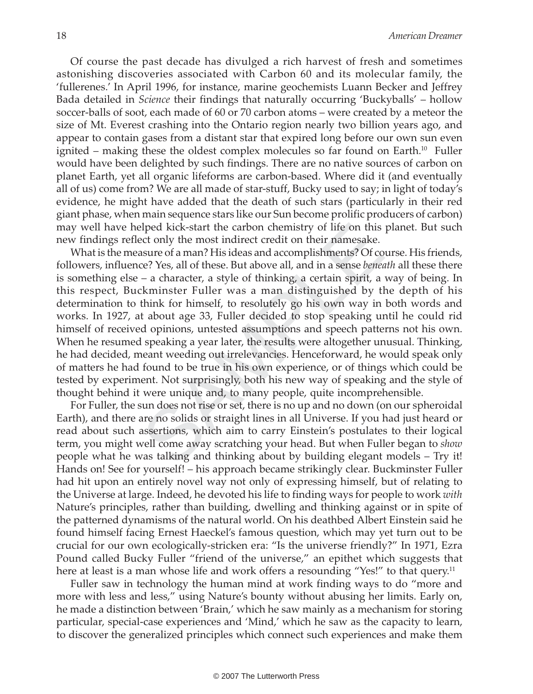Of course the past decade has divulged a rich harvest of fresh and sometimes astonishing discoveries associated with Carbon 60 and its molecular family, the 'fullerenes.' In April 1996, for instance, marine geochemists Luann Becker and Jeffrey Bada detailed in Science their findings that naturally occurring 'Buckyballs' – hollow soccer-balls of soot, each made of 60 or 70 carbon atoms – were created by a meteor the size of Mt. Everest crashing into the Ontario region nearly two billion years ago, and appear to contain gases from a distant star that expired long before our own sun even ignited – making these the oldest complex molecules so far found on Earth.<sup>10</sup> Fuller would have been delighted by such findings. There are no native sources of carbon on planet Earth, yet all organic lifeforms are carbon-based. Where did it (and eventually all of us) come from? We are all made of star-stuff, Bucky used to say; in light of today's evidence, he might have added that the death of such stars (particularly in their red giant phase, when main sequence stars like our Sun become prolific producers of carbon) may well have helped kick-start the carbon chemistry of life on this planet. But such new findings reflect only the most indirect credit on their namesake.

elped kick-start the carbon chemistry of life on this<br>ect only the most indirect credit on their namesake.<br>asure of a man? His ideas and accomplishments? Of co<br>ce? Yes, all of these. But above all, and in a sense *benea*<br>– What is the measure of a man? His ideas and accomplishments? Of course. His friends, followers, influence? Yes, all of these. But above all, and in a sense beneath all these there is something else – a character, a style of thinking, a certain spirit, a way of being. In this respect, Buckminster Fuller was a man distinguished by the depth of his determination to think for himself, to resolutely go his own way in both words and works. In 1927, at about age 33, Fuller decided to stop speaking until he could rid himself of received opinions, untested assumptions and speech patterns not his own. When he resumed speaking a year later, the results were altogether unusual. Thinking, he had decided, meant weeding out irrelevancies. Henceforward, he would speak only of matters he had found to be true in his own experience, or of things which could be tested by experiment. Not surprisingly, both his new way of speaking and the style of thought behind it were unique and, to many people, quite incomprehensible.

For Fuller, the sun does not rise or set, there is no up and no down (on our spheroidal Earth), and there are no solids or straight lines in all Universe. If you had just heard or read about such assertions, which aim to carry Einstein's postulates to their logical term, you might well come away scratching your head. But when Fuller began to show people what he was talking and thinking about by building elegant models – Try it! Hands on! See for yourself! – his approach became strikingly clear. Buckminster Fuller had hit upon an entirely novel way not only of expressing himself, but of relating to the Universe at large. Indeed, he devoted his life to finding ways for people to work with Nature's principles, rather than building, dwelling and thinking against or in spite of the patterned dynamisms of the natural world. On his deathbed Albert Einstein said he found himself facing Ernest Haeckel's famous question, which may yet turn out to be crucial for our own ecologically-stricken era: "Is the universe friendly?" In 1971, Ezra Pound called Bucky Fuller "friend of the universe," an epithet which suggests that here at least is a man whose life and work offers a resounding "Yes!" to that query.<sup>11</sup>

Fuller saw in technology the human mind at work finding ways to do "more and more with less and less," using Nature's bounty without abusing her limits. Early on, he made a distinction between 'Brain,' which he saw mainly as a mechanism for storing particular, special-case experiences and 'Mind,' which he saw as the capacity to learn, to discover the generalized principles which connect such experiences and make them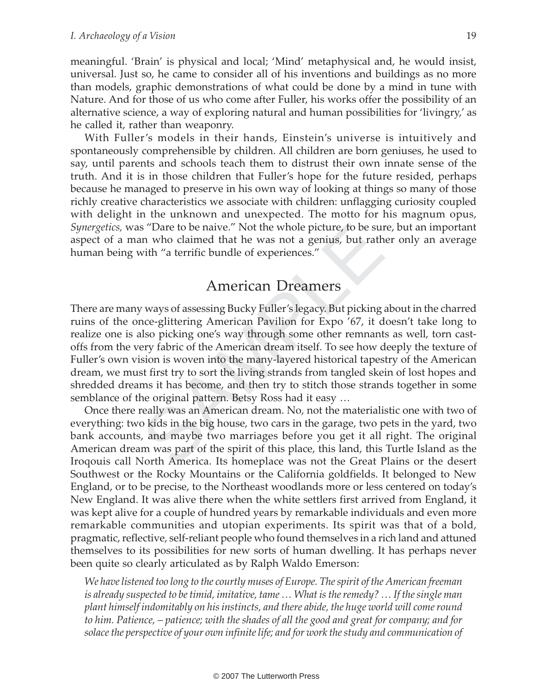meaningful. 'Brain' is physical and local; 'Mind' metaphysical and, he would insist, universal. Just so, he came to consider all of his inventions and buildings as no more than models, graphic demonstrations of what could be done by a mind in tune with Nature. And for those of us who come after Fuller, his works offer the possibility of an alternative science, a way of exploring natural and human possibilities for 'livingry,' as he called it, rather than weaponry.

With Fuller's models in their hands, Einstein's universe is intuitively and spontaneously comprehensible by children. All children are born geniuses, he used to say, until parents and schools teach them to distrust their own innate sense of the truth. And it is in those children that Fuller's hope for the future resided, perhaps because he managed to preserve in his own way of looking at things so many of those richly creative characteristics we associate with children: unflagging curiosity coupled with delight in the unknown and unexpected. The motto for his magnum opus, Synergetics, was "Dare to be naive." Not the whole picture, to be sure, but an important aspect of a man who claimed that he was not a genius, but rather only an average human being with "a terrific bundle of experiences."

### American Dreamers

s "Dare to be naive." Not the whole picture, to be suin who claimed that he was not a genius, but rath<br>with "a terrific bundle of experiences."<br>American Dreamers<br>ways of assessing Bucky Fuller's legacy. But picking<br>nce-gli There are many ways of assessing Bucky Fuller's legacy. But picking about in the charred ruins of the once-glittering American Pavilion for Expo '67, it doesn't take long to realize one is also picking one's way through some other remnants as well, torn castoffs from the very fabric of the American dream itself. To see how deeply the texture of Fuller's own vision is woven into the many-layered historical tapestry of the American dream, we must first try to sort the living strands from tangled skein of lost hopes and shredded dreams it has become, and then try to stitch those strands together in some semblance of the original pattern. Betsy Ross had it easy …

Once there really was an American dream. No, not the materialistic one with two of everything: two kids in the big house, two cars in the garage, two pets in the yard, two bank accounts, and maybe two marriages before you get it all right. The original American dream was part of the spirit of this place, this land, this Turtle Island as the Iroqouis call North America. Its homeplace was not the Great Plains or the desert Southwest or the Rocky Mountains or the California goldfields. It belonged to New England, or to be precise, to the Northeast woodlands more or less centered on today's New England. It was alive there when the white settlers first arrived from England, it was kept alive for a couple of hundred years by remarkable individuals and even more remarkable communities and utopian experiments. Its spirit was that of a bold, pragmatic, reflective, self-reliant people who found themselves in a rich land and attuned themselves to its possibilities for new sorts of human dwelling. It has perhaps never been quite so clearly articulated as by Ralph Waldo Emerson:

We have listened too long to the courtly muses of Europe. The spirit of the American freeman is already suspected to be timid, imitative, tame … What is the remedy? … If the single man plant himself indomitably on his instincts, and there abide, the huge world will come round to him. Patience, – patience; with the shades of all the good and great for company; and for solace the perspective of your own infinite life; and for work the study and communication of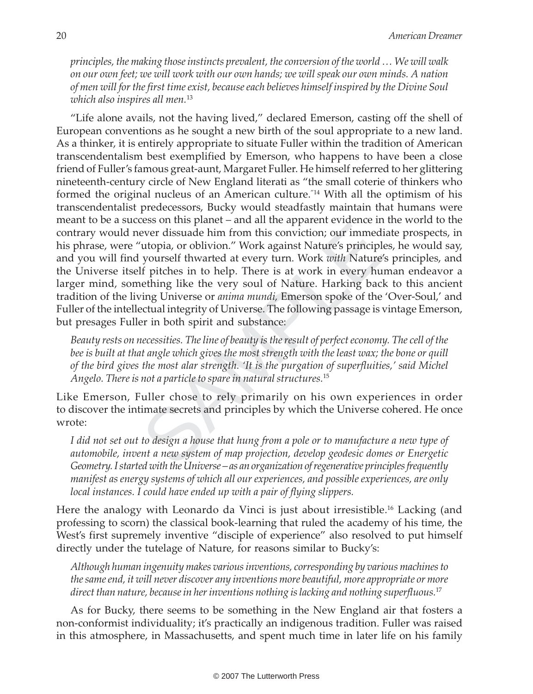principles, the making those instincts prevalent, the conversion of the world … We will walk on our own feet; we will work with our own hands; we will speak our own minds. A nation of men will for the first time exist, because each believes himself inspired by the Divine Soul which also inspires all men.<sup>13</sup>

ever dissuade him from this conviction; our immediate ever dissuade him from this conviction; our immediate (topia, or oblivion." Work against Nature's principly yourself thwarted at every turn. Work with Nature's life pit "Life alone avails, not the having lived," declared Emerson, casting off the shell of European conventions as he sought a new birth of the soul appropriate to a new land. As a thinker, it is entirely appropriate to situate Fuller within the tradition of American transcendentalism best exemplified by Emerson, who happens to have been a close friend of Fuller's famous great-aunt, Margaret Fuller. He himself referred to her glittering nineteenth-century circle of New England literati as "the small coterie of thinkers who formed the original nucleus of an American culture."14 With all the optimism of his transcendentalist predecessors, Bucky would steadfastly maintain that humans were meant to be a success on this planet – and all the apparent evidence in the world to the contrary would never dissuade him from this conviction; our immediate prospects, in his phrase, were "utopia, or oblivion." Work against Nature's principles, he would say, and you will find yourself thwarted at every turn. Work with Nature's principles, and the Universe itself pitches in to help. There is at work in every human endeavor a larger mind, something like the very soul of Nature. Harking back to this ancient tradition of the living Universe or anima mundi, Emerson spoke of the 'Over-Soul,' and Fuller of the intellectual integrity of Universe. The following passage is vintage Emerson, but presages Fuller in both spirit and substance:

Beauty rests on necessities. The line of beauty is the result of perfect economy. The cell of the bee is built at that angle which gives the most strength with the least wax; the bone or quill of the bird gives the most alar strength. 'It is the purgation of superfluities,' said Michel Angelo. There is not a particle to spare in natural structures.<sup>15</sup>

Like Emerson, Fuller chose to rely primarily on his own experiences in order to discover the intimate secrets and principles by which the Universe cohered. He once wrote:

I did not set out to design a house that hung from a pole or to manufacture a new type of automobile, invent a new system of map projection, develop geodesic domes or Energetic Geometry. I started with the Universe – as an organization of regenerative principles frequently manifest as energy systems of which all our experiences, and possible experiences, are only local instances. I could have ended up with a pair of flying slippers.

Here the analogy with Leonardo da Vinci is just about irresistible.<sup>16</sup> Lacking (and professing to scorn) the classical book-learning that ruled the academy of his time, the West's first supremely inventive "disciple of experience" also resolved to put himself directly under the tutelage of Nature, for reasons similar to Bucky's:

Although human ingenuity makes various inventions, corresponding by various machines to the same end, it will never discover any inventions more beautiful, more appropriate or more direct than nature, because in her inventions nothing is lacking and nothing superfluous.<sup>17</sup>

As for Bucky, there seems to be something in the New England air that fosters a non-conformist individuality; it's practically an indigenous tradition. Fuller was raised in this atmosphere, in Massachusetts, and spent much time in later life on his family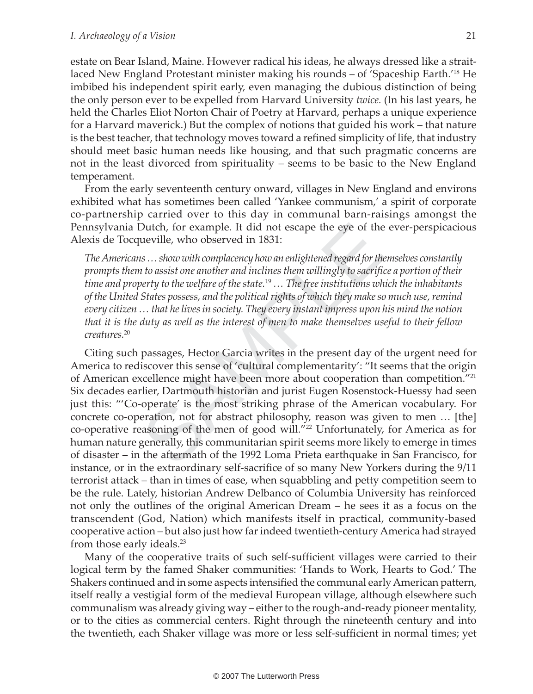estate on Bear Island, Maine. However radical his ideas, he always dressed like a straitlaced New England Protestant minister making his rounds – of 'Spaceship Earth.'<sup>18</sup> He imbibed his independent spirit early, even managing the dubious distinction of being the only person ever to be expelled from Harvard University twice. (In his last years, he held the Charles Eliot Norton Chair of Poetry at Harvard, perhaps a unique experience for a Harvard maverick.) But the complex of notions that guided his work – that nature is the best teacher, that technology moves toward a refined simplicity of life, that industry should meet basic human needs like housing, and that such pragmatic concerns are not in the least divorced from spirituality – seems to be basic to the New England temperament.

From the early seventeenth century onward, villages in New England and environs exhibited what has sometimes been called 'Yankee communism,' a spirit of corporate co-partnership carried over to this day in communal barn-raisings amongst the Pennsylvania Dutch, for example. It did not escape the eye of the ever-perspicacious Alexis de Tocqueville, who observed in 1831:

The Americans … show with complacency how an enlightened regard for themselves constantly prompts them to assist one another and inclines them willingly to sacrifice a portion of their time and property to the welfare of the state.<sup>19</sup>  $\ldots$  The free institutions which the inhabitants of the United States possess, and the political rights of which they make so much use, remind every citizen … that he lives in society. They every instant impress upon his mind the notion that it is the duty as well as the interest of men to make themselves useful to their fellow creatures.<sup>20</sup>

Dutch, for example. It did not escape the eye of the<br>ueville, who observed in 1831:<br>as ... show with complacency how an enlightened regard for the<br>not oassist one another and inclines them willingly to sacrific<br>perty to t Citing such passages, Hector Garcia writes in the present day of the urgent need for America to rediscover this sense of 'cultural complementarity': "It seems that the origin of American excellence might have been more about cooperation than competition."<sup>21</sup> Six decades earlier, Dartmouth historian and jurist Eugen Rosenstock-Huessy had seen just this: "'Co-operate' is the most striking phrase of the American vocabulary. For concrete co-operation, not for abstract philosophy, reason was given to men … [the] co-operative reasoning of the men of good will."<sup>22</sup> Unfortunately, for America as for human nature generally, this communitarian spirit seems more likely to emerge in times of disaster – in the aftermath of the 1992 Loma Prieta earthquake in San Francisco, for instance, or in the extraordinary self-sacrifice of so many New Yorkers during the 9/11 terrorist attack – than in times of ease, when squabbling and petty competition seem to be the rule. Lately, historian Andrew Delbanco of Columbia University has reinforced not only the outlines of the original American Dream – he sees it as a focus on the transcendent (God, Nation) which manifests itself in practical, community-based cooperative action – but also just how far indeed twentieth-century America had strayed from those early ideals.<sup>23</sup>

Many of the cooperative traits of such self-sufficient villages were carried to their logical term by the famed Shaker communities: 'Hands to Work, Hearts to God.' The Shakers continued and in some aspects intensified the communal early American pattern, itself really a vestigial form of the medieval European village, although elsewhere such communalism was already giving way – either to the rough-and-ready pioneer mentality, or to the cities as commercial centers. Right through the nineteenth century and into the twentieth, each Shaker village was more or less self-sufficient in normal times; yet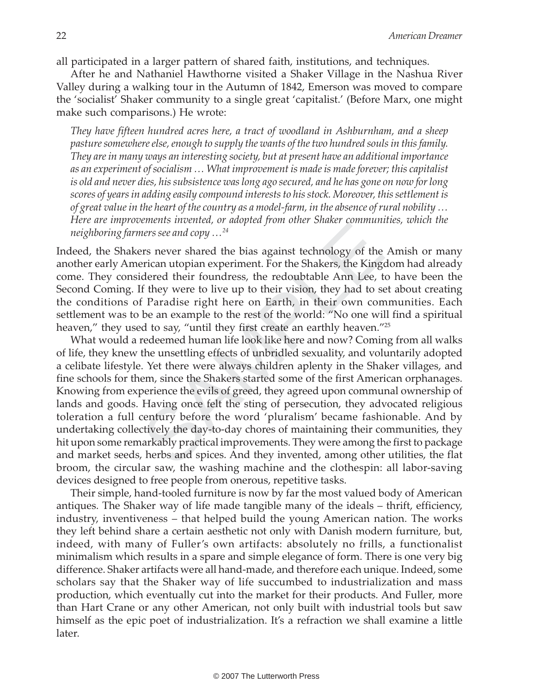all participated in a larger pattern of shared faith, institutions, and techniques.

After he and Nathaniel Hawthorne visited a Shaker Village in the Nashua River Valley during a walking tour in the Autumn of 1842, Emerson was moved to compare the 'socialist' Shaker community to a single great 'capitalist.' (Before Marx, one might make such comparisons.) He wrote:

They have fifteen hundred acres here, a tract of woodland in Ashburnham, and a sheep pasture somewhere else, enough to supply the wants of the two hundred souls in this family. They are in many ways an interesting society, but at present have an additional importance as an experiment of socialism … What improvement is made is made forever; this capitalist is old and never dies, his subsistence was long ago secured, and he has gone on now for long scores of years in adding easily compound interests to his stock. Moreover, this settlement is of great value in the heart of the country as a model-farm, in the absence of rural nobility … Here are improvements invented, or adopted from other Shaker communities, which the neighboring farmers see and copy …<sup>24</sup>

Indeed, the Shakers never shared the bias against technology of the Amish or many another early American utopian experiment. For the Shakers, the Kingdom had already come. They considered their foundress, the redoubtable Ann Lee, to have been the Second Coming. If they were to live up to their vision, they had to set about creating the conditions of Paradise right here on Earth, in their own communities. Each settlement was to be an example to the rest of the world: "No one will find a spiritual heaven," they used to say, "until they first create an earthly heaven."<sup>25</sup>

*ners see and copy* ...<sup>24</sup><br>*ners see and copy* ...<sup>24</sup><br>ars never shared the bias against technology of the<br>erican utopian experiment. For the Shakers, the King<br>idered their foundress, the redoubtable Ann Lee, t<br>If they w What would a redeemed human life look like here and now? Coming from all walks of life, they knew the unsettling effects of unbridled sexuality, and voluntarily adopted a celibate lifestyle. Yet there were always children aplenty in the Shaker villages, and fine schools for them, since the Shakers started some of the first American orphanages. Knowing from experience the evils of greed, they agreed upon communal ownership of lands and goods. Having once felt the sting of persecution, they advocated religious toleration a full century before the word 'pluralism' became fashionable. And by undertaking collectively the day-to-day chores of maintaining their communities, they hit upon some remarkably practical improvements. They were among the first to package and market seeds, herbs and spices. And they invented, among other utilities, the flat broom, the circular saw, the washing machine and the clothespin: all labor-saving devices designed to free people from onerous, repetitive tasks.

Their simple, hand-tooled furniture is now by far the most valued body of American antiques. The Shaker way of life made tangible many of the ideals – thrift, efficiency, industry, inventiveness – that helped build the young American nation. The works they left behind share a certain aesthetic not only with Danish modern furniture, but, indeed, with many of Fuller's own artifacts: absolutely no frills, a functionalist minimalism which results in a spare and simple elegance of form. There is one very big difference. Shaker artifacts were all hand-made, and therefore each unique. Indeed, some scholars say that the Shaker way of life succumbed to industrialization and mass production, which eventually cut into the market for their products. And Fuller, more than Hart Crane or any other American, not only built with industrial tools but saw himself as the epic poet of industrialization. It's a refraction we shall examine a little later.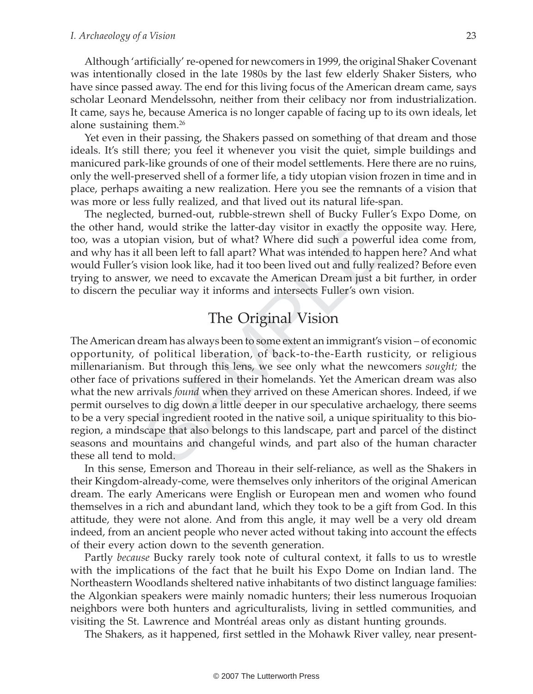Although 'artificially' re-opened for newcomers in 1999, the original Shaker Covenant was intentionally closed in the late 1980s by the last few elderly Shaker Sisters, who have since passed away. The end for this living focus of the American dream came, says scholar Leonard Mendelssohn, neither from their celibacy nor from industrialization. It came, says he, because America is no longer capable of facing up to its own ideals, let alone sustaining them.<sup>26</sup>

Yet even in their passing, the Shakers passed on something of that dream and those ideals. It's still there; you feel it whenever you visit the quiet, simple buildings and manicured park-like grounds of one of their model settlements. Here there are no ruins, only the well-preserved shell of a former life, a tidy utopian vision frozen in time and in place, perhaps awaiting a new realization. Here you see the remnants of a vision that was more or less fully realized, and that lived out its natural life-span.

The neglected, burned-out, rubble-strewn shell of Bucky Fuller's Expo Dome, on the other hand, would strike the latter-day visitor in exactly the opposite way. Here, too, was a utopian vision, but of what? Where did such a powerful idea come from, and why has it all been left to fall apart? What was intended to happen here? And what would Fuller's vision look like, had it too been lived out and fully realized? Before even trying to answer, we need to excavate the American Dream just a bit further, in order to discern the peculiar way it informs and intersects Fuller's own vision.

### The Original Vision

I, would strike the latter-day visitor in exactly the c<br>pian vision, but of what? Where did such a power!<br>all been left to fall apart? What was intended to happ<br>vision look like, had it too been lived out and fully re<br>er, The American dream has always been to some extent an immigrant's vision – of economic opportunity, of political liberation, of back-to-the-Earth rusticity, or religious millenarianism. But through this lens, we see only what the newcomers sought; the other face of privations suffered in their homelands. Yet the American dream was also what the new arrivals *found* when they arrived on these American shores. Indeed, if we permit ourselves to dig down a little deeper in our speculative archaelogy, there seems to be a very special ingredient rooted in the native soil, a unique spirituality to this bioregion, a mindscape that also belongs to this landscape, part and parcel of the distinct seasons and mountains and changeful winds, and part also of the human character these all tend to mold.

In this sense, Emerson and Thoreau in their self-reliance, as well as the Shakers in their Kingdom-already-come, were themselves only inheritors of the original American dream. The early Americans were English or European men and women who found themselves in a rich and abundant land, which they took to be a gift from God. In this attitude, they were not alone. And from this angle, it may well be a very old dream indeed, from an ancient people who never acted without taking into account the effects of their every action down to the seventh generation.

Partly because Bucky rarely took note of cultural context, it falls to us to wrestle with the implications of the fact that he built his Expo Dome on Indian land. The Northeastern Woodlands sheltered native inhabitants of two distinct language families: the Algonkian speakers were mainly nomadic hunters; their less numerous Iroquoian neighbors were both hunters and agriculturalists, living in settled communities, and visiting the St. Lawrence and Montréal areas only as distant hunting grounds.

The Shakers, as it happened, first settled in the Mohawk River valley, near present-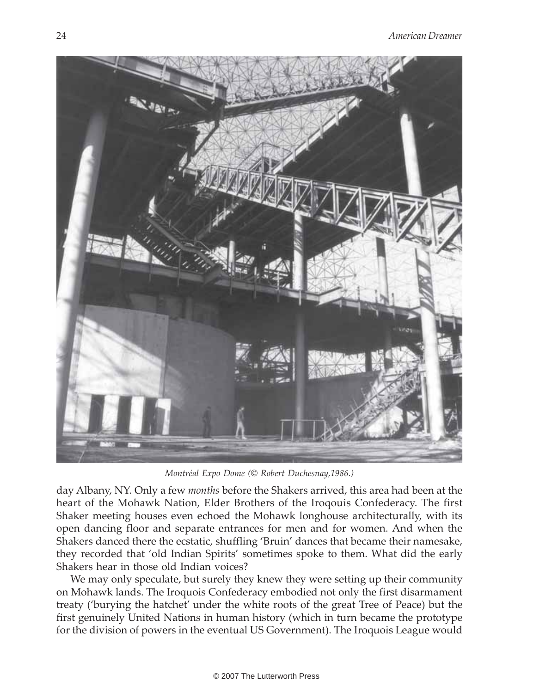

Montréal Expo Dome (© Robert Duchesnay,1986.)

day Albany, NY. Only a few *months* before the Shakers arrived, this area had been at the heart of the Mohawk Nation, Elder Brothers of the Iroqouis Confederacy. The first Shaker meeting houses even echoed the Mohawk longhouse architecturally, with its open dancing floor and separate entrances for men and for women. And when the Shakers danced there the ecstatic, shuffling 'Bruin' dances that became their namesake, they recorded that 'old Indian Spirits' sometimes spoke to them. What did the early Shakers hear in those old Indian voices?

We may only speculate, but surely they knew they were setting up their community on Mohawk lands. The Iroquois Confederacy embodied not only the first disarmament treaty ('burying the hatchet' under the white roots of the great Tree of Peace) but the first genuinely United Nations in human history (which in turn became the prototype for the division of powers in the eventual US Government). The Iroquois League would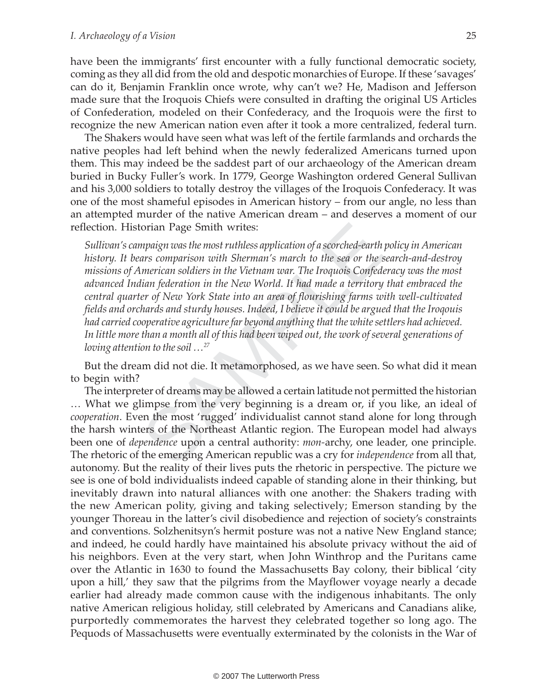have been the immigrants' first encounter with a fully functional democratic society, coming as they all did from the old and despotic monarchies of Europe. If these 'savages' can do it, Benjamin Franklin once wrote, why can't we? He, Madison and Jefferson made sure that the Iroquois Chiefs were consulted in drafting the original US Articles of Confederation, modeled on their Confederacy, and the Iroquois were the first to recognize the new American nation even after it took a more centralized, federal turn.

The Shakers would have seen what was left of the fertile farmlands and orchards the native peoples had left behind when the newly federalized Americans turned upon them. This may indeed be the saddest part of our archaeology of the American dream buried in Bucky Fuller's work. In 1779, George Washington ordered General Sullivan and his 3,000 soldiers to totally destroy the villages of the Iroquois Confederacy. It was one of the most shameful episodes in American history – from our angle, no less than an attempted murder of the native American dream – and deserves a moment of our reflection. Historian Page Smith writes:

torian Page Smith writes:<br>
mpaign was the most ruthless application of a scorched-earth<br>
mars comparison with Sherman's march to the sea or the is<br>
harrican soldiers in the Vietnam war. The Iroquois Confed<br>
dian federation Sullivan's campaign was the most ruthless application of a scorched-earth policy in American history. It bears comparison with Sherman's march to the sea or the search-and-destroy missions of American soldiers in the Vietnam war. The Iroquois Confederacy was the most advanced Indian federation in the New World. It had made a territory that embraced the central quarter of New York State into an area of flourishing farms with well-cultivated fields and orchards and sturdy houses. Indeed, I believe it could be argued that the Iroqouis had carried cooperative agriculture far beyond anything that the white settlers had achieved. In little more than a month all of this had been wiped out, the work of several generations of loving attention to the soil  $\ldots$ <sup>27</sup>

But the dream did not die. It metamorphosed, as we have seen. So what did it mean to begin with?

The interpreter of dreams may be allowed a certain latitude not permitted the historian … What we glimpse from the very beginning is a dream or, if you like, an ideal of cooperation. Even the most 'rugged' individualist cannot stand alone for long through the harsh winters of the Northeast Atlantic region. The European model had always been one of *dependence* upon a central authority: *mon*-archy, one leader, one principle. The rhetoric of the emerging American republic was a cry for *independence* from all that, autonomy. But the reality of their lives puts the rhetoric in perspective. The picture we see is one of bold individualists indeed capable of standing alone in their thinking, but inevitably drawn into natural alliances with one another: the Shakers trading with the new American polity, giving and taking selectively; Emerson standing by the younger Thoreau in the latter's civil disobedience and rejection of society's constraints and conventions. Solzhenitsyn's hermit posture was not a native New England stance; and indeed, he could hardly have maintained his absolute privacy without the aid of his neighbors. Even at the very start, when John Winthrop and the Puritans came over the Atlantic in 1630 to found the Massachusetts Bay colony, their biblical 'city upon a hill,' they saw that the pilgrims from the Mayflower voyage nearly a decade earlier had already made common cause with the indigenous inhabitants. The only native American religious holiday, still celebrated by Americans and Canadians alike, purportedly commemorates the harvest they celebrated together so long ago. The Pequods of Massachusetts were eventually exterminated by the colonists in the War of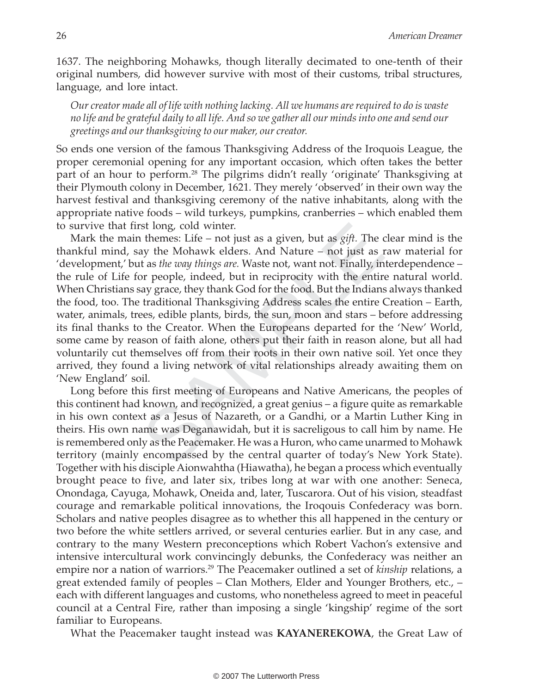1637. The neighboring Mohawks, though literally decimated to one-tenth of their original numbers, did however survive with most of their customs, tribal structures, language, and lore intact.

Our creator made all of life with nothing lacking. All we humans are required to do is waste no life and be grateful daily to all life. And so we gather all our minds into one and send our greetings and our thanksgiving to our maker, our creator.

So ends one version of the famous Thanksgiving Address of the Iroquois League, the proper ceremonial opening for any important occasion, which often takes the better part of an hour to perform.<sup>28</sup> The pilgrims didn't really 'originate' Thanksgiving at their Plymouth colony in December, 1621. They merely 'observed' in their own way the harvest festival and thanksgiving ceremony of the native inhabitants, along with the appropriate native foods – wild turkeys, pumpkins, cranberries – which enabled them to survive that first long, cold winter.

rst long, cold winter.<br>
at themes: Life – not just as a given, but as *gift*. The *a* a themes: Life – not just as a given, but as *gift*. The *a* a themes: Life – not just as a themes are weak the *a the way things are*. Mark the main themes: Life – not just as a given, but as  $gift$ . The clear mind is the thankful mind, say the Mohawk elders. And Nature – not just as raw material for 'development,' but as the way things are. Waste not, want not. Finally, interdependence – the rule of Life for people, indeed, but in reciprocity with the entire natural world. When Christians say grace, they thank God for the food. But the Indians always thanked the food, too. The traditional Thanksgiving Address scales the entire Creation – Earth, water, animals, trees, edible plants, birds, the sun, moon and stars – before addressing its final thanks to the Creator. When the Europeans departed for the 'New' World, some came by reason of faith alone, others put their faith in reason alone, but all had voluntarily cut themselves off from their roots in their own native soil. Yet once they arrived, they found a living network of vital relationships already awaiting them on 'New England' soil.

Long before this first meeting of Europeans and Native Americans, the peoples of this continent had known, and recognized, a great genius – a figure quite as remarkable in his own context as a Jesus of Nazareth, or a Gandhi, or a Martin Luther King in theirs. His own name was Deganawidah, but it is sacreligous to call him by name. He is remembered only as the Peacemaker. He was a Huron, who came unarmed to Mohawk territory (mainly encompassed by the central quarter of today's New York State). Together with his disciple Aionwahtha (Hiawatha), he began a process which eventually brought peace to five, and later six, tribes long at war with one another: Seneca, Onondaga, Cayuga, Mohawk, Oneida and, later, Tuscarora. Out of his vision, steadfast courage and remarkable political innovations, the Iroqouis Confederacy was born. Scholars and native peoples disagree as to whether this all happened in the century or two before the white settlers arrived, or several centuries earlier. But in any case, and contrary to the many Western preconceptions which Robert Vachon's extensive and intensive intercultural work convincingly debunks, the Confederacy was neither an empire nor a nation of warriors.<sup>29</sup> The Peacemaker outlined a set of *kinship* relations, a great extended family of peoples – Clan Mothers, Elder and Younger Brothers, etc., – each with different languages and customs, who nonetheless agreed to meet in peaceful council at a Central Fire, rather than imposing a single 'kingship' regime of the sort familiar to Europeans.

What the Peacemaker taught instead was KAYANEREKOWA, the Great Law of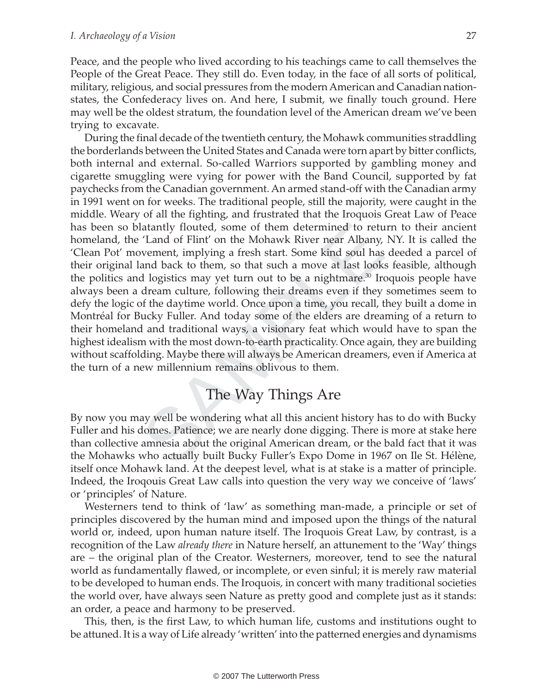Peace, and the people who lived according to his teachings came to call themselves the People of the Great Peace. They still do. Even today, in the face of all sorts of political, military, religious, and social pressures from the modern American and Canadian nationstates, the Confederacy lives on. And here, I submit, we finally touch ground. Here may well be the oldest stratum, the foundation level of the American dream we've been trying to excavate.

latantly flouted, some of them determined to rett<br>
'Land of Flint' on the Mohawk River near Albany,<br>
wement, implying a fresh start. Some kind soul has<br>
and back to them, so that such a move at last look<br>
d logistics may y During the final decade of the twentieth century, the Mohawk communities straddling the borderlands between the United States and Canada were torn apart by bitter conflicts, both internal and external. So-called Warriors supported by gambling money and cigarette smuggling were vying for power with the Band Council, supported by fat paychecks from the Canadian government. An armed stand-off with the Canadian army in 1991 went on for weeks. The traditional people, still the majority, were caught in the middle. Weary of all the fighting, and frustrated that the Iroquois Great Law of Peace has been so blatantly flouted, some of them determined to return to their ancient homeland, the 'Land of Flint' on the Mohawk River near Albany, NY. It is called the 'Clean Pot' movement, implying a fresh start. Some kind soul has deeded a parcel of their original land back to them, so that such a move at last looks feasible, although the politics and logistics may yet turn out to be a nightmare.<sup>30</sup> Iroquois people have always been a dream culture, following their dreams even if they sometimes seem to defy the logic of the daytime world. Once upon a time, you recall, they built a dome in Montréal for Bucky Fuller. And today some of the elders are dreaming of a return to their homeland and traditional ways, a visionary feat which would have to span the highest idealism with the most down-to-earth practicality. Once again, they are building without scaffolding. Maybe there will always be American dreamers, even if America at the turn of a new millennium remains oblivous to them.

## The Way Things Are

By now you may well be wondering what all this ancient history has to do with Bucky Fuller and his domes. Patience; we are nearly done digging. There is more at stake here than collective amnesia about the original American dream, or the bald fact that it was the Mohawks who actually built Bucky Fuller's Expo Dome in 1967 on Ile St. Hélène, itself once Mohawk land. At the deepest level, what is at stake is a matter of principle. Indeed, the Iroqouis Great Law calls into question the very way we conceive of 'laws' or 'principles' of Nature.

Westerners tend to think of 'law' as something man-made, a principle or set of principles discovered by the human mind and imposed upon the things of the natural world or, indeed, upon human nature itself. The Iroquois Great Law, by contrast, is a recognition of the Law already there in Nature herself, an attunement to the 'Way' things are – the original plan of the Creator. Westerners, moreover, tend to see the natural world as fundamentally flawed, or incomplete, or even sinful; it is merely raw material to be developed to human ends. The Iroquois, in concert with many traditional societies the world over, have always seen Nature as pretty good and complete just as it stands: an order, a peace and harmony to be preserved.

This, then, is the first Law, to which human life, customs and institutions ought to be attuned. It is a way of Life already 'written' into the patterned energies and dynamisms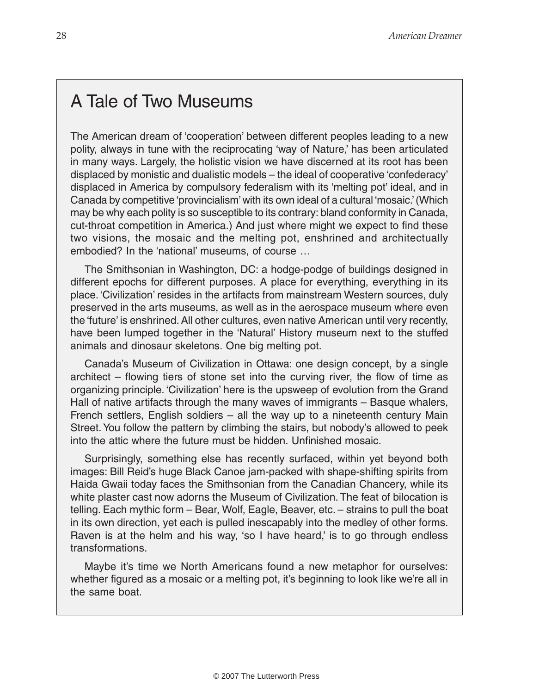#### A Tale of Two Museums

The American dream of 'cooperation' between different peoples leading to a new polity, always in tune with the reciprocating 'way of Nature,' has been articulated in many ways. Largely, the holistic vision we have discerned at its root has been displaced by monistic and dualistic models – the ideal of cooperative 'confederacy' displaced in America by compulsory federalism with its 'melting pot' ideal, and in Canada by competitive 'provincialism' with its own ideal of a cultural 'mosaic.' (Which may be why each polity is so susceptible to its contrary: bland conformity in Canada, cut-throat competition in America.) And just where might we expect to find these two visions, the mosaic and the melting pot, enshrined and architectually embodied? In the 'national' museums, of course …

petition in America.) And just where might we expected be mosaic and the melting pot, enshrined and a the 'national' museums, of course ...<br>
onian in Washington, DC: a hodge-podge of building<br>
is for different purposes. A The Smithsonian in Washington, DC: a hodge-podge of buildings designed in different epochs for different purposes. A place for everything, everything in its place. 'Civilization' resides in the artifacts from mainstream Western sources, duly preserved in the arts museums, as well as in the aerospace museum where even the 'future' is enshrined. All other cultures, even native American until very recently, have been lumped together in the 'Natural' History museum next to the stuffed animals and dinosaur skeletons. One big melting pot.

Canada's Museum of Civilization in Ottawa: one design concept, by a single architect – flowing tiers of stone set into the curving river, the flow of time as organizing principle. 'Civilization' here is the upsweep of evolution from the Grand Hall of native artifacts through the many waves of immigrants – Basque whalers, French settlers, English soldiers – all the way up to a nineteenth century Main Street. You follow the pattern by climbing the stairs, but nobody's allowed to peek into the attic where the future must be hidden. Unfinished mosaic.

Surprisingly, something else has recently surfaced, within yet beyond both images: Bill Reid's huge Black Canoe jam-packed with shape-shifting spirits from Haida Gwaii today faces the Smithsonian from the Canadian Chancery, while its white plaster cast now adorns the Museum of Civilization. The feat of bilocation is telling. Each mythic form – Bear, Wolf, Eagle, Beaver, etc. – strains to pull the boat in its own direction, yet each is pulled inescapably into the medley of other forms. Raven is at the helm and his way, 'so I have heard,' is to go through endless transformations.

Maybe it's time we North Americans found a new metaphor for ourselves: whether figured as a mosaic or a melting pot, it's beginning to look like we're all in the same boat.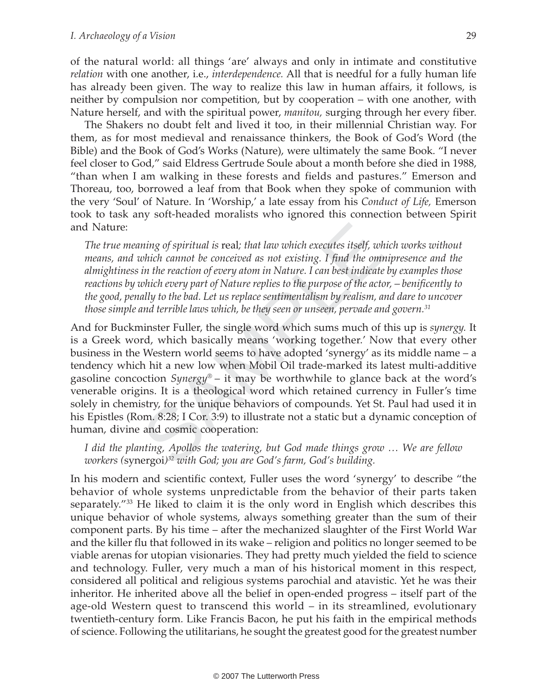of the natural world: all things 'are' always and only in intimate and constitutive relation with one another, i.e., *interdependence*. All that is needful for a fully human life has already been given. The way to realize this law in human affairs, it follows, is neither by compulsion nor competition, but by cooperation – with one another, with Nature herself, and with the spiritual power, manitou, surging through her every fiber.

The Shakers no doubt felt and lived it too, in their millennial Christian way. For them, as for most medieval and renaissance thinkers, the Book of God's Word (the Bible) and the Book of God's Works (Nature), were ultimately the same Book. "I never feel closer to God," said Eldress Gertrude Soule about a month before she died in 1988, "than when I am walking in these forests and fields and pastures." Emerson and Thoreau, too, borrowed a leaf from that Book when they spoke of communion with the very 'Soul' of Nature. In 'Worship,' a late essay from his Conduct of Life, Emerson took to task any soft-headed moralists who ignored this connection between Spirit and Nature:

The true meaning of spiritual is real; that law which executes itself, which works without means, and which cannot be conceived as not existing. I find the omnipresence and the almightiness in the reaction of every atom in Nature. I can best indicate by examples those reactions by which every part of Nature replies to the purpose of the actor, – benificently to the good, penally to the bad. Let us replace sentimentalism by realism, and dare to uncover those simple and terrible laws which, be they seen or unseen, pervade and govern. $31$ 

uning of spiritual is real; that law which executes itself, we which cannot be conceived as not existing. I find the om<br>in the reaction of every atom in Nature. I can best indicate<br>which every part of Nature replies to th And for Buckminster Fuller, the single word which sums much of this up is *synergy*. It is a Greek word, which basically means 'working together.' Now that every other business in the Western world seems to have adopted 'synergy' as its middle name – a tendency which hit a new low when Mobil Oil trade-marked its latest multi-additive gasoline concoction  $Synergy^{\otimes}$  – it may be worthwhile to glance back at the word's venerable origins. It is a theological word which retained currency in Fuller's time solely in chemistry, for the unique behaviors of compounds. Yet St. Paul had used it in his Epistles (Rom. 8:28; I Cor. 3:9) to illustrate not a static but a dynamic conception of human, divine and cosmic cooperation:

I did the planting, Apollos the watering, but God made things grow … We are fellow workers (synergoi)<sup>32</sup> with God; you are God's farm, God's building.

In his modern and scientific context, Fuller uses the word 'synergy' to describe "the behavior of whole systems unpredictable from the behavior of their parts taken separately."<sup>33</sup> He liked to claim it is the only word in English which describes this unique behavior of whole systems, always something greater than the sum of their component parts. By his time – after the mechanized slaughter of the First World War and the killer flu that followed in its wake – religion and politics no longer seemed to be viable arenas for utopian visionaries. They had pretty much yielded the field to science and technology. Fuller, very much a man of his historical moment in this respect, considered all political and religious systems parochial and atavistic. Yet he was their inheritor. He inherited above all the belief in open-ended progress – itself part of the age-old Western quest to transcend this world – in its streamlined, evolutionary twentieth-century form. Like Francis Bacon, he put his faith in the empirical methods of science. Following the utilitarians, he sought the greatest good for the greatest number